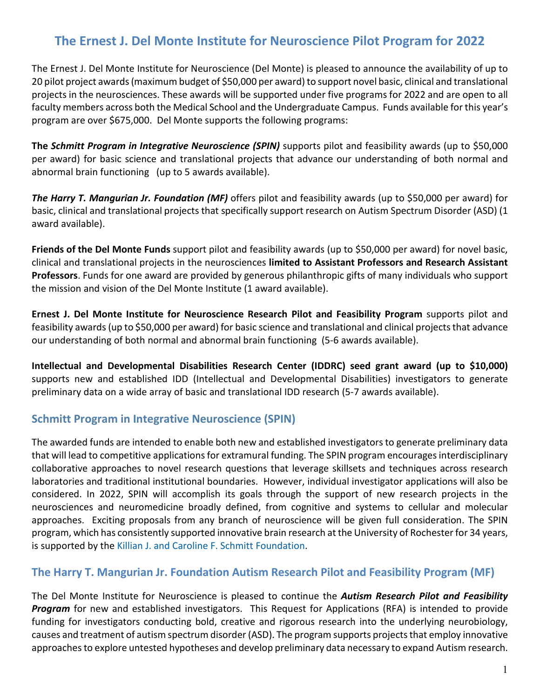# **The Ernest J. Del Monte Institute for Neuroscience Pilot Program for 2022**

The Ernest J. Del Monte Institute for Neuroscience (Del Monte) is pleased to announce the availability of up to 20 pilot project awards (maximum budget of \$50,000 per award) to support novel basic, clinical and translational projects in the neurosciences. These awards will be supported under five programs for 2022 and are open to all faculty members across both the Medical School and the Undergraduate Campus. Funds available for this year's program are over \$675,000. Del Monte supports the following programs:

**The** *Schmitt Program in Integrative Neuroscience (SPIN)* supports pilot and feasibility awards (up to \$50,000 per award) for basic science and translational projects that advance our understanding of both normal and abnormal brain functioning (up to 5 awards available).

*The Harry T. Mangurian Jr. Foundation (MF)* offers pilot and feasibility awards (up to \$50,000 per award) for basic, clinical and translational projects that specifically support research on Autism Spectrum Disorder (ASD) (1 award available).

**Friends of the Del Monte Funds** support pilot and feasibility awards (up to \$50,000 per award) for novel basic, clinical and translational projects in the neurosciences **limited to Assistant Professors and Research Assistant Professors**. Funds for one award are provided by generous philanthropic gifts of many individuals who support the mission and vision of the Del Monte Institute (1 award available).

**Ernest J. Del Monte Institute for Neuroscience Research Pilot and Feasibility Program** supports pilot and feasibility awards (up to \$50,000 per award) for basic science and translational and clinical projects that advance our understanding of both normal and abnormal brain functioning (5-6 awards available).

**Intellectual and Developmental Disabilities Research Center (IDDRC) seed grant award (up to \$10,000)**  supports new and established IDD (Intellectual and Developmental Disabilities) investigators to generate preliminary data on a wide array of basic and translational IDD research (5-7 awards available).

## **Schmitt Program in Integrative Neuroscience (SPIN)**

The awarded funds are intended to enable both new and established investigators to generate preliminary data that will lead to competitive applications for extramural funding. The SPIN program encourages interdisciplinary collaborative approaches to novel research questions that leverage skillsets and techniques across research laboratories and traditional institutional boundaries. However, individual investigator applications will also be considered. In 2022, SPIN will accomplish its goals through the support of new research projects in the neurosciences and neuromedicine broadly defined, from cognitive and systems to cellular and molecular approaches. Exciting proposals from any branch of neuroscience will be given full consideration. The SPIN program, which has consistently supported innovative brain research at the University of Rochester for 34 years, is supported by th[e Killian J. and Caroline F. Schmitt Foundation.](http://www.kilianschmittfoundation.org/)

#### **The Harry T. Mangurian Jr. Foundation Autism Research Pilot and Feasibility Program (MF)**

The Del Monte Institute for Neuroscience is pleased to continue the *Autism Research Pilot and Feasibility Program* for new and established investigators. This Request for Applications (RFA) is intended to provide funding for investigators conducting bold, creative and rigorous research into the underlying neurobiology, causes and treatment of autism spectrum disorder (ASD). The program supports projects that employ innovative approaches to explore untested hypotheses and develop preliminary data necessary to expand Autism research.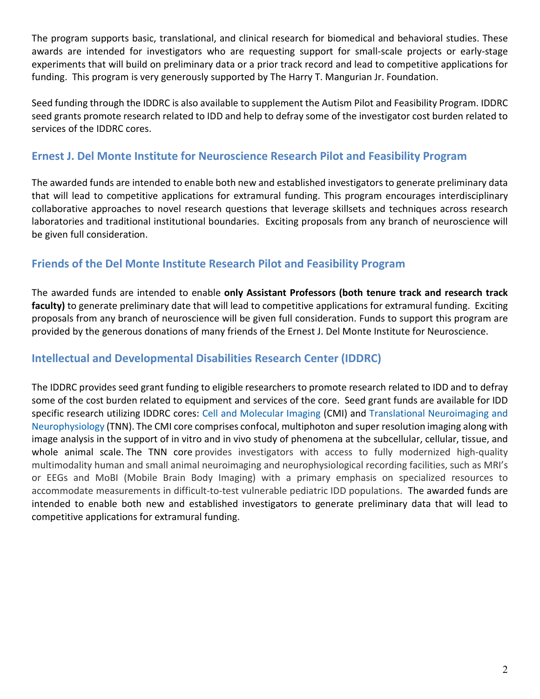The program supports basic, translational, and clinical research for biomedical and behavioral studies. These awards are intended for investigators who are requesting support for small-scale projects or early-stage experiments that will build on preliminary data or a prior track record and lead to competitive applications for funding. This program is very generously supported by The Harry T. Mangurian Jr. Foundation.

Seed funding through the IDDRC is also available to supplement the Autism Pilot and Feasibility Program. IDDRC seed grants promote research related to IDD and help to defray some of the investigator cost burden related to services of the IDDRC cores.

### **Ernest J. Del Monte Institute for Neuroscience Research Pilot and Feasibility Program**

The awarded funds are intended to enable both new and established investigators to generate preliminary data that will lead to competitive applications for extramural funding. This program encourages interdisciplinary collaborative approaches to novel research questions that leverage skillsets and techniques across research laboratories and traditional institutional boundaries. Exciting proposals from any branch of neuroscience will be given full consideration.

#### **Friends of the Del Monte Institute Research Pilot and Feasibility Program**

The awarded funds are intended to enable **only Assistant Professors (both tenure track and research track faculty)** to generate preliminary date that will lead to competitive applications for extramural funding. Exciting proposals from any branch of neuroscience will be given full consideration. Funds to support this program are provided by the generous donations of many friends of the Ernest J. Del Monte Institute for Neuroscience.

## **Intellectual and Developmental Disabilities Research Center (IDDRC)**

The IDDRC provides seed grant funding to eligible researchers to promote research related to IDD and to defray some of the cost burden related to equipment and services of the core. Seed grant funds are available for IDD specific research utilizing IDDRC cores: [Cell and Molecular Imaging](https://www.urmc.rochester.edu/del-monte-neuroscience/intellectual-developmental-disabilities/idd-research-center/cores/cell-and-molecular-imaging.aspx) (CMI) and [Translational Neuroimaging and](https://www.urmc.rochester.edu/del-monte-neuroscience/intellectual-developmental-disabilities-research/idd-research-center/cores/translational-neuroimaging-and-neurophysiology.aspx)  [Neurophysiology](https://www.urmc.rochester.edu/del-monte-neuroscience/intellectual-developmental-disabilities-research/idd-research-center/cores/translational-neuroimaging-and-neurophysiology.aspx) (TNN). The CMI core comprises confocal, multiphoton and super resolution imaging along with image analysis in the support of in vitro and in vivo study of phenomena at the subcellular, cellular, tissue, and whole animal scale. The TNN core provides investigators with access to fully modernized high-quality multimodality human and small animal neuroimaging and neurophysiological recording facilities, such as MRI's or EEGs and MoBI (Mobile Brain Body Imaging) with a primary emphasis on specialized resources to accommodate measurements in difficult-to-test vulnerable pediatric IDD populations. The awarded funds are intended to enable both new and established investigators to generate preliminary data that will lead to competitive applications for extramural funding.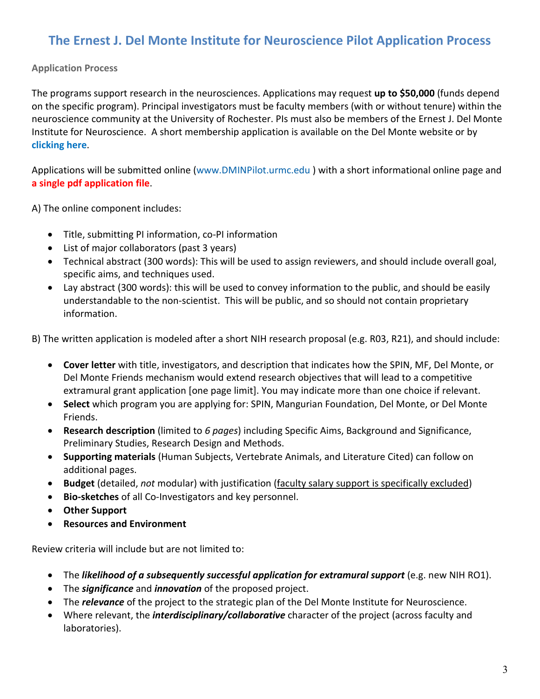# **The Ernest J. Del Monte Institute for Neuroscience Pilot Application Process**

#### **Application Process**

The programs support research in the neurosciences. Applications may request **up to \$50,000** (funds depend on the specific program). Principal investigators must be faculty members (with or without tenure) within the neuroscience community at the University of Rochester. PIs must also be members of the Ernest J. Del Monte Institute for Neuroscience. A short membership application is available on the Del Monte website or b[y](https://www.urmc.rochester.edu/del-monte-neuroscience/about/membership.aspx) **[clicking here](https://www.urmc.rochester.edu/del-monte-neuroscience/about/membership.aspx)**.

Applications will be submitted online [\(www.DMINPilot.urmc.edu](http://www.dminpilot.urmc.edu/) ) with a short informational online page and **a single pdf application file**.

A) The online component includes:

- Title, submitting PI information, co-PI information
- List of major collaborators (past 3 years)
- Technical abstract (300 words): This will be used to assign reviewers, and should include overall goal, specific aims, and techniques used.
- Lay abstract (300 words): this will be used to convey information to the public, and should be easily understandable to the non-scientist. This will be public, and so should not contain proprietary information.

B) The written application is modeled after a short NIH research proposal (e.g. R03, R21), and should include:

- **Cover letter** with title, investigators, and description that indicates how the SPIN, MF, Del Monte, or Del Monte Friends mechanism would extend research objectives that will lead to a competitive extramural grant application [one page limit]. You may indicate more than one choice if relevant.
- **Select** which program you are applying for: SPIN, Mangurian Foundation, Del Monte, or Del Monte Friends.
- **Research description** (limited to *6 pages*) including Specific Aims, Background and Significance, Preliminary Studies, Research Design and Methods.
- **Supporting materials** (Human Subjects, Vertebrate Animals, and Literature Cited) can follow on additional pages.
- **Budget** (detailed, *not* modular) with justification (faculty salary support is specifically excluded)
- **Bio-sketches** of all Co-Investigators and key personnel.
- **Other Support**
- **Resources and Environment**

Review criteria will include but are not limited to:

- The *likelihood of a subsequently successful application for extramural support* (e.g. new NIH RO1).
- The *significance* and *innovation* of the proposed project.
- The *relevance* of the project to the strategic plan of the Del Monte Institute for Neuroscience.
- Where relevant, the *interdisciplinary/collaborative* character of the project (across faculty and laboratories).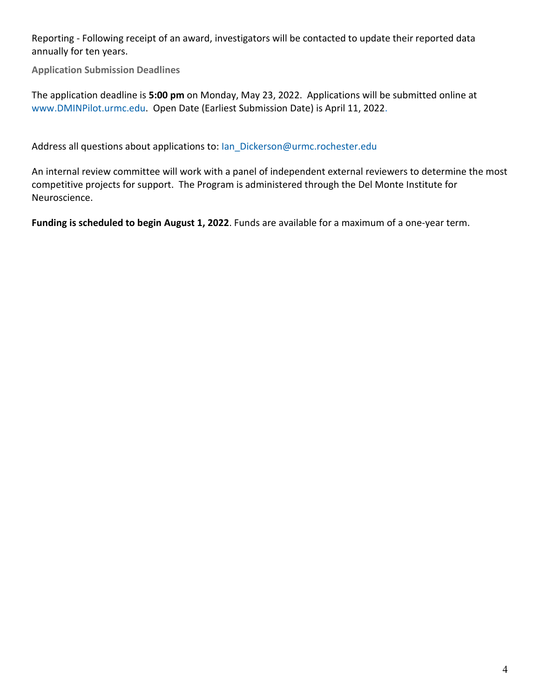Reporting - Following receipt of an award, investigators will be contacted to update their reported data annually for ten years.

**Application Submission Deadlines**

The application deadline is **5:00 pm** on Monday, May 23, 2022. Applications will be submitted online at [www.DMINPilot.urmc.edu.](http://www.dminpilot.urmc.edu/) Open Date (Earliest Submission Date) is April 11, 2022.

Address all questions about applications to: [Ian\\_Dickerson@urmc.rochester.edu](mailto:Ian_Dickerson@urmc.rochester.edu)

An internal review committee will work with a panel of independent external reviewers to determine the most competitive projects for support. The Program is administered through the Del Monte Institute for Neuroscience.

**Funding is scheduled to begin August 1, 2022**. Funds are available for a maximum of a one-year term.